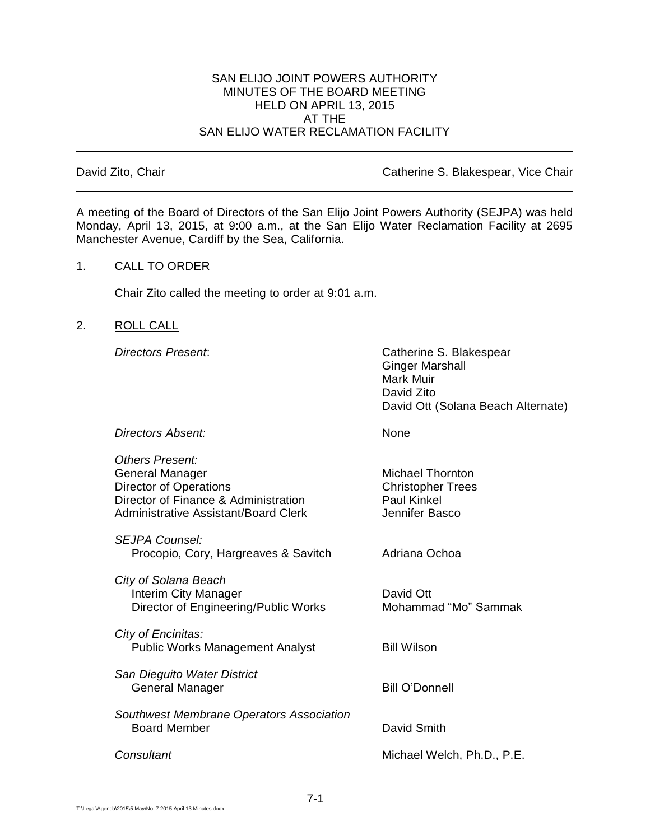## SAN ELIJO JOINT POWERS AUTHORITY MINUTES OF THE BOARD MEETING HELD ON APRIL 13, 2015 AT THE SAN ELIJO WATER RECLAMATION FACILITY

David Zito, Chair **David Zito, Chair** Catherine S. Blakespear, Vice Chair

A meeting of the Board of Directors of the San Elijo Joint Powers Authority (SEJPA) was held Monday, April 13, 2015, at 9:00 a.m., at the San Elijo Water Reclamation Facility at 2695 Manchester Avenue, Cardiff by the Sea, California.

## 1. CALL TO ORDER

Chair Zito called the meeting to order at 9:01 a.m.

# 2. ROLL CALL

*Directors Present*: Catherine S. Blakespear Ginger Marshall Mark Muir David Zito David Ott (Solana Beach Alternate)

**Directors Absent:** None

| <b>Others Present:</b><br>General Manager<br><b>Director of Operations</b><br>Director of Finance & Administration<br>Administrative Assistant/Board Clerk | <b>Michael Thornton</b><br><b>Christopher Trees</b><br><b>Paul Kinkel</b><br>Jennifer Basco |
|------------------------------------------------------------------------------------------------------------------------------------------------------------|---------------------------------------------------------------------------------------------|
| <b>SEJPA Counsel:</b><br>Procopio, Cory, Hargreaves & Savitch                                                                                              | Adriana Ochoa                                                                               |
| City of Solana Beach<br>Interim City Manager<br>Director of Engineering/Public Works                                                                       | David Ott<br>Mohammad "Mo" Sammak                                                           |
| City of Encinitas:<br><b>Public Works Management Analyst</b>                                                                                               | <b>Bill Wilson</b>                                                                          |
| San Dieguito Water District<br>General Manager                                                                                                             | <b>Bill O'Donnell</b>                                                                       |
| Southwest Membrane Operators Association<br><b>Board Member</b>                                                                                            | David Smith                                                                                 |
| Consultant                                                                                                                                                 | Michael Welch, Ph.D., P.E.                                                                  |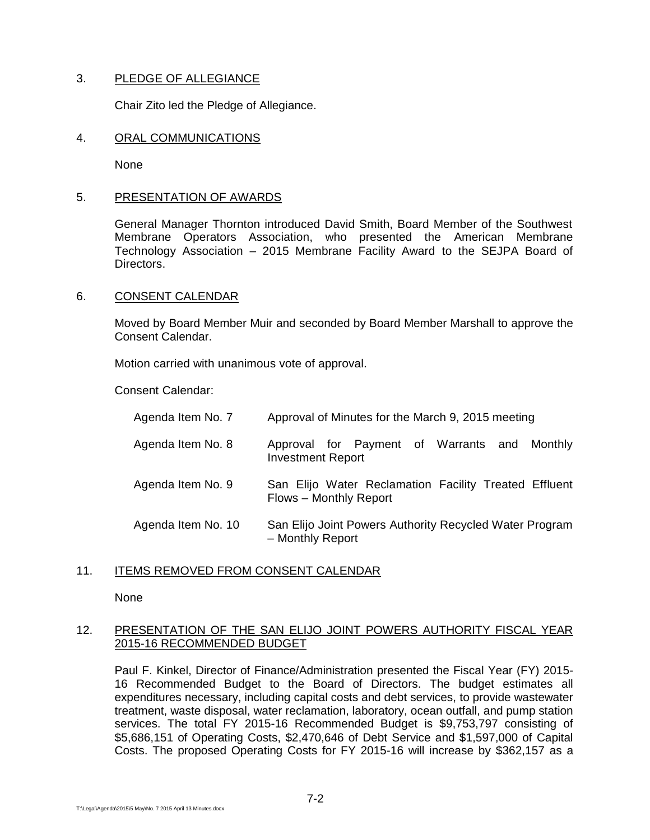# 3. PLEDGE OF ALLEGIANCE

Chair Zito led the Pledge of Allegiance.

#### 4. ORAL COMMUNICATIONS

None

## 5. PRESENTATION OF AWARDS

General Manager Thornton introduced David Smith, Board Member of the Southwest Membrane Operators Association, who presented the American Membrane Technology Association – 2015 Membrane Facility Award to the SEJPA Board of Directors.

## 6. CONSENT CALENDAR

Moved by Board Member Muir and seconded by Board Member Marshall to approve the Consent Calendar.

Motion carried with unanimous vote of approval.

Consent Calendar:

| Agenda Item No. 7  | Approval of Minutes for the March 9, 2015 meeting                               |
|--------------------|---------------------------------------------------------------------------------|
| Agenda Item No. 8  | Approval for Payment of Warrants and Monthly<br><b>Investment Report</b>        |
| Agenda Item No. 9  | San Elijo Water Reclamation Facility Treated Effluent<br>Flows - Monthly Report |
| Agenda Item No. 10 | San Elijo Joint Powers Authority Recycled Water Program<br>- Monthly Report     |

# 11. ITEMS REMOVED FROM CONSENT CALENDAR

None

# 12. PRESENTATION OF THE SAN ELIJO JOINT POWERS AUTHORITY FISCAL YEAR 2015-16 RECOMMENDED BUDGET

Paul F. Kinkel, Director of Finance/Administration presented the Fiscal Year (FY) 2015- 16 Recommended Budget to the Board of Directors. The budget estimates all expenditures necessary, including capital costs and debt services, to provide wastewater treatment, waste disposal, water reclamation, laboratory, ocean outfall, and pump station services. The total FY 2015-16 Recommended Budget is \$9,753,797 consisting of \$5,686,151 of Operating Costs, \$2,470,646 of Debt Service and \$1,597,000 of Capital Costs. The proposed Operating Costs for FY 2015-16 will increase by \$362,157 as a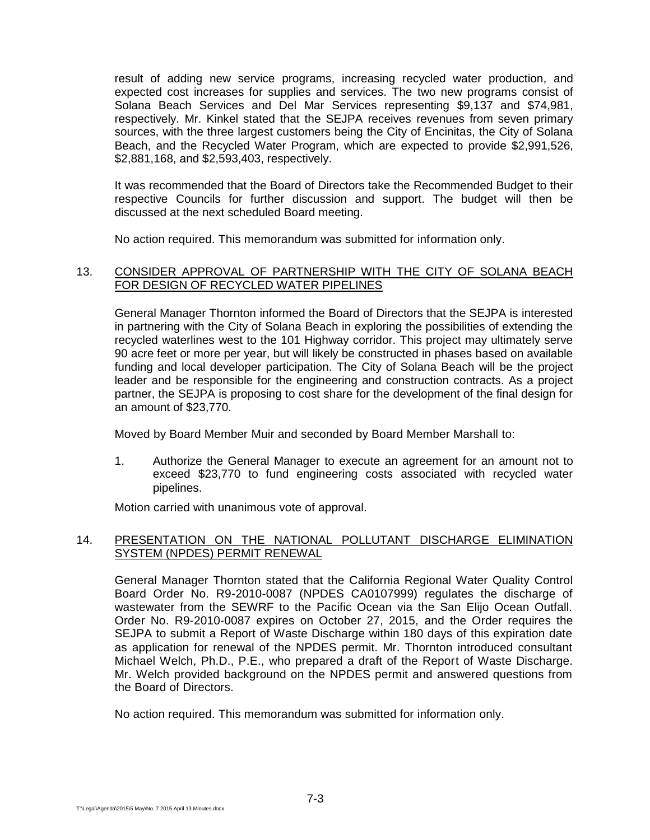result of adding new service programs, increasing recycled water production, and expected cost increases for supplies and services. The two new programs consist of Solana Beach Services and Del Mar Services representing \$9,137 and \$74,981, respectively. Mr. Kinkel stated that the SEJPA receives revenues from seven primary sources, with the three largest customers being the City of Encinitas, the City of Solana Beach, and the Recycled Water Program, which are expected to provide \$2,991,526, \$2,881,168, and \$2,593,403, respectively.

It was recommended that the Board of Directors take the Recommended Budget to their respective Councils for further discussion and support. The budget will then be discussed at the next scheduled Board meeting.

No action required. This memorandum was submitted for information only.

## 13. CONSIDER APPROVAL OF PARTNERSHIP WITH THE CITY OF SOLANA BEACH FOR DESIGN OF RECYCLED WATER PIPELINES

General Manager Thornton informed the Board of Directors that the SEJPA is interested in partnering with the City of Solana Beach in exploring the possibilities of extending the recycled waterlines west to the 101 Highway corridor. This project may ultimately serve 90 acre feet or more per year, but will likely be constructed in phases based on available funding and local developer participation. The City of Solana Beach will be the project leader and be responsible for the engineering and construction contracts. As a project partner, the SEJPA is proposing to cost share for the development of the final design for an amount of \$23,770.

Moved by Board Member Muir and seconded by Board Member Marshall to:

1. Authorize the General Manager to execute an agreement for an amount not to exceed \$23,770 to fund engineering costs associated with recycled water pipelines.

Motion carried with unanimous vote of approval.

# 14. PRESENTATION ON THE NATIONAL POLLUTANT DISCHARGE ELIMINATION SYSTEM (NPDES) PERMIT RENEWAL

General Manager Thornton stated that the California Regional Water Quality Control Board Order No. R9-2010-0087 (NPDES CA0107999) regulates the discharge of wastewater from the SEWRF to the Pacific Ocean via the San Elijo Ocean Outfall. Order No. R9-2010-0087 expires on October 27, 2015, and the Order requires the SEJPA to submit a Report of Waste Discharge within 180 days of this expiration date as application for renewal of the NPDES permit. Mr. Thornton introduced consultant Michael Welch, Ph.D., P.E., who prepared a draft of the Report of Waste Discharge. Mr. Welch provided background on the NPDES permit and answered questions from the Board of Directors.

No action required. This memorandum was submitted for information only.